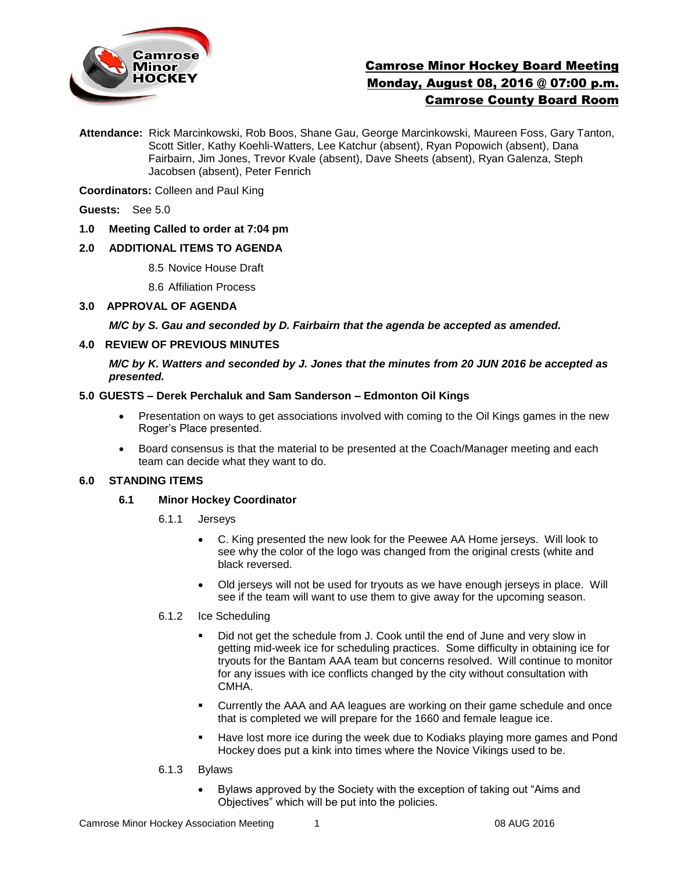

# Camrose Minor Hockey Board Meeting Monday, August 08, 2016 @ 07:00 p.m. Camrose County Board Room

**Attendance:** Rick Marcinkowski, Rob Boos, Shane Gau, George Marcinkowski, Maureen Foss, Gary Tanton, Scott Sitler, Kathy Koehli-Watters, Lee Katchur (absent), Ryan Popowich (absent), Dana Fairbairn, Jim Jones, Trevor Kvale (absent), Dave Sheets (absent), Ryan Galenza, Steph Jacobsen (absent), Peter Fenrich

**Coordinators:** Colleen and Paul King

**Guests:** See 5.0

**1.0 Meeting Called to order at 7:04 pm**

## **2.0 ADDITIONAL ITEMS TO AGENDA**

8.5 Novice House Draft

8.6 Affiliation Process

**3.0 APPROVAL OF AGENDA**

*M/C by S. Gau and seconded by D. Fairbairn that the agenda be accepted as amended.* 

#### **4.0 REVIEW OF PREVIOUS MINUTES**

*M/C by K. Watters and seconded by J. Jones that the minutes from 20 JUN 2016 be accepted as presented.*

#### **5.0 GUESTS – Derek Perchaluk and Sam Sanderson – Edmonton Oil Kings**

- Presentation on ways to get associations involved with coming to the Oil Kings games in the new Roger's Place presented.
- Board consensus is that the material to be presented at the Coach/Manager meeting and each team can decide what they want to do.

#### **6.0 STANDING ITEMS**

#### **6.1 Minor Hockey Coordinator**

- 6.1.1 Jerseys
	- C. King presented the new look for the Peewee AA Home jerseys. Will look to see why the color of the logo was changed from the original crests (white and black reversed.
	- Old jerseys will not be used for tryouts as we have enough jerseys in place. Will see if the team will want to use them to give away for the upcoming season.
- 6.1.2 Ice Scheduling
	- Did not get the schedule from J. Cook until the end of June and very slow in getting mid-week ice for scheduling practices. Some difficulty in obtaining ice for tryouts for the Bantam AAA team but concerns resolved. Will continue to monitor for any issues with ice conflicts changed by the city without consultation with CMHA.
	- Currently the AAA and AA leagues are working on their game schedule and once that is completed we will prepare for the 1660 and female league ice.
	- Have lost more ice during the week due to Kodiaks playing more games and Pond Hockey does put a kink into times where the Novice Vikings used to be.
- 6.1.3 Bylaws
	- Bylaws approved by the Society with the exception of taking out "Aims and Objectives" which will be put into the policies.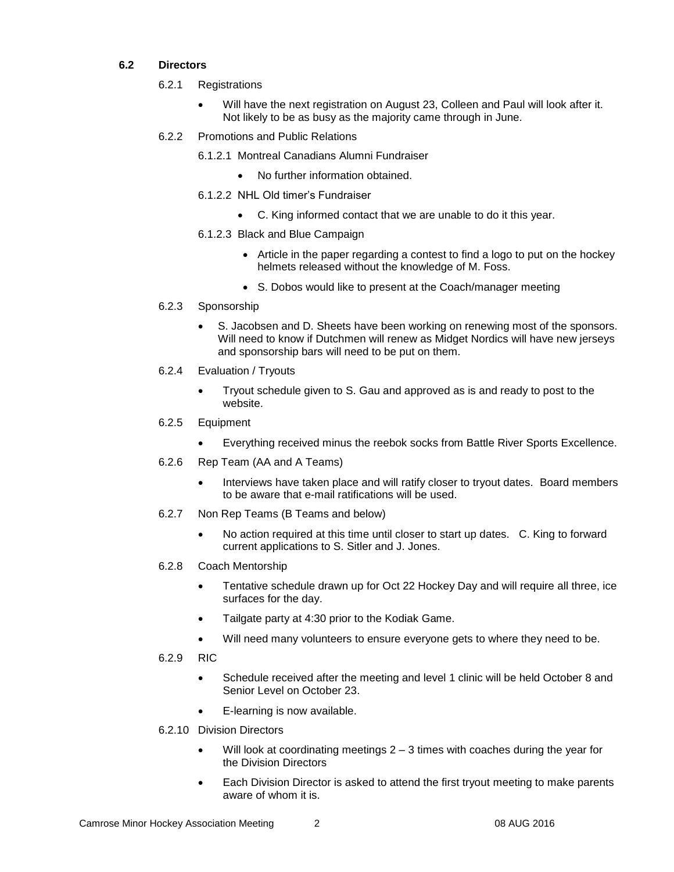## **6.2 Directors**

- 6.2.1 Registrations
	- Will have the next registration on August 23, Colleen and Paul will look after it. Not likely to be as busy as the majority came through in June.
- 6.2.2 Promotions and Public Relations
	- 6.1.2.1 Montreal Canadians Alumni Fundraiser
		- No further information obtained.
	- 6.1.2.2 NHL Old timer's Fundraiser
		- C. King informed contact that we are unable to do it this year.
	- 6.1.2.3 Black and Blue Campaign
		- Article in the paper regarding a contest to find a logo to put on the hockey helmets released without the knowledge of M. Foss.
		- S. Dobos would like to present at the Coach/manager meeting
- 6.2.3 Sponsorship
	- S. Jacobsen and D. Sheets have been working on renewing most of the sponsors. Will need to know if Dutchmen will renew as Midget Nordics will have new jerseys and sponsorship bars will need to be put on them.
- 6.2.4 Evaluation / Tryouts
	- Tryout schedule given to S. Gau and approved as is and ready to post to the website.
- 6.2.5 Equipment
	- Everything received minus the reebok socks from Battle River Sports Excellence.
- 6.2.6 Rep Team (AA and A Teams)
	- Interviews have taken place and will ratify closer to tryout dates. Board members to be aware that e-mail ratifications will be used.
- 6.2.7 Non Rep Teams (B Teams and below)
	- No action required at this time until closer to start up dates. C. King to forward current applications to S. Sitler and J. Jones.
- 6.2.8 Coach Mentorship
	- Tentative schedule drawn up for Oct 22 Hockey Day and will require all three, ice surfaces for the day.
	- Tailgate party at 4:30 prior to the Kodiak Game.
	- Will need many volunteers to ensure everyone gets to where they need to be.
- 6.2.9 RIC
	- Schedule received after the meeting and level 1 clinic will be held October 8 and Senior Level on October 23.
	- E-learning is now available.
- 6.2.10 Division Directors
	- Will look at coordinating meetings 2 3 times with coaches during the year for the Division Directors
	- Each Division Director is asked to attend the first tryout meeting to make parents aware of whom it is.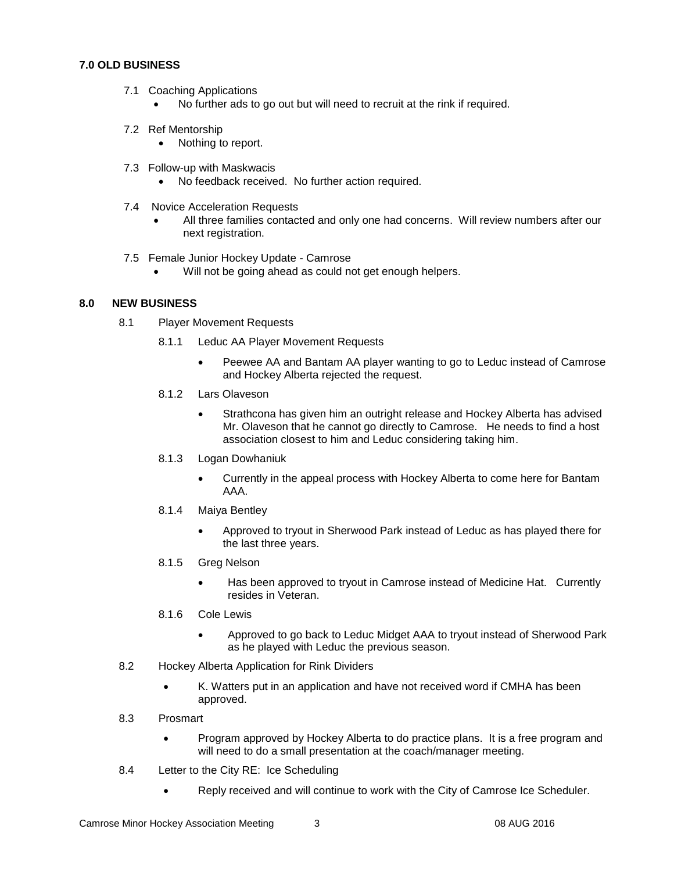## **7.0 OLD BUSINESS**

- 7.1 Coaching Applications
	- No further ads to go out but will need to recruit at the rink if required.
- 7.2 Ref Mentorship
	- Nothing to report.
- 7.3 Follow-up with Maskwacis
	- No feedback received. No further action required.
- 7.4 Novice Acceleration Requests
	- All three families contacted and only one had concerns. Will review numbers after our next registration.
- 7.5 Female Junior Hockey Update Camrose
	- Will not be going ahead as could not get enough helpers.

## **8.0 NEW BUSINESS**

- 8.1 Player Movement Requests
	- 8.1.1 Leduc AA Player Movement Requests
		- Peewee AA and Bantam AA player wanting to go to Leduc instead of Camrose and Hockey Alberta rejected the request.
	- 8.1.2 Lars Olaveson
		- Strathcona has given him an outright release and Hockey Alberta has advised Mr. Olaveson that he cannot go directly to Camrose. He needs to find a host association closest to him and Leduc considering taking him.
	- 8.1.3 Logan Dowhaniuk
		- Currently in the appeal process with Hockey Alberta to come here for Bantam AAA.
	- 8.1.4 Maiya Bentley
		- Approved to tryout in Sherwood Park instead of Leduc as has played there for the last three years.
	- 8.1.5 Greg Nelson
		- Has been approved to tryout in Camrose instead of Medicine Hat. Currently resides in Veteran.
	- 8.1.6 Cole Lewis
		- Approved to go back to Leduc Midget AAA to tryout instead of Sherwood Park as he played with Leduc the previous season.
- 8.2 Hockey Alberta Application for Rink Dividers
	- K. Watters put in an application and have not received word if CMHA has been approved.
- 8.3 Prosmart
	- Program approved by Hockey Alberta to do practice plans. It is a free program and will need to do a small presentation at the coach/manager meeting.
- 8.4 Letter to the City RE: Ice Scheduling
	- Reply received and will continue to work with the City of Camrose Ice Scheduler.